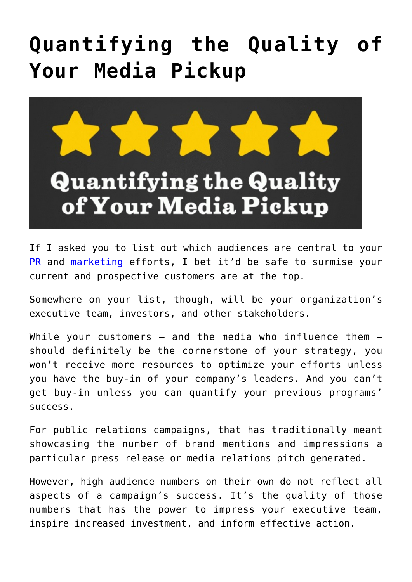## **[Quantifying the Quality of](https://www.commpro.biz/quantifying-the-quality-of-your-media-pickup/) [Your Media Pickup](https://www.commpro.biz/quantifying-the-quality-of-your-media-pickup/)**



If I asked you to list out which audiences are central to your [PR](https://www.commpro.biz/agile-engagement-channel/) and [marketing](https://www.commpro.biz/agile-engagement-channel/) efforts, I bet it'd be safe to surmise your current and prospective customers are at the top.

Somewhere on your list, though, will be your organization's executive team, investors, and other stakeholders.

While your customers  $-$  and the media who influence them  $$ should definitely be the cornerstone of your strategy, you won't receive more resources to optimize your efforts unless you have the buy-in of your company's leaders. And you can't get buy-in unless you can quantify your previous programs' success.

For public relations campaigns, that has traditionally meant showcasing the number of brand mentions and impressions a particular press release or media relations pitch generated.

However, high audience numbers on their own do not reflect all aspects of a campaign's success. It's the quality of those numbers that has the power to impress your executive team, inspire increased investment, and inform effective action.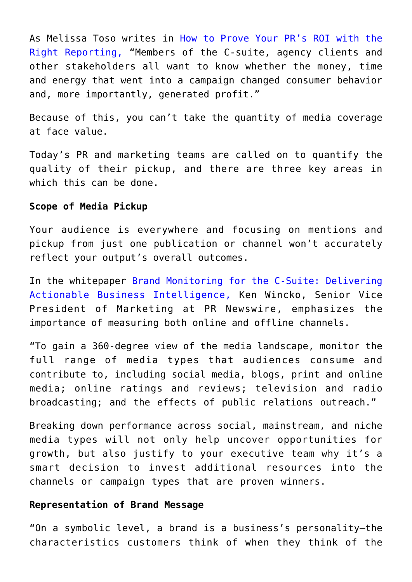As Melissa Toso writes in [How to Prove Your PR's ROI with the](https://www.prnewswire.com/blog/how-to-prove-pr-roi-with-the-right-reporting-17057.html) [Right Reporting](https://www.prnewswire.com/blog/how-to-prove-pr-roi-with-the-right-reporting-17057.html), "Members of the C-suite, agency clients and other stakeholders all want to know whether the money, time and energy that went into a campaign changed consumer behavior and, more importantly, generated profit."

Because of this, you can't take the quantity of media coverage at face value.

Today's PR and marketing teams are called on to quantify the quality of their pickup, and there are three key areas in which this can be done.

## **Scope of Media Pickup**

Your audience is everywhere and focusing on mentions and pickup from just one publication or channel won't accurately reflect your output's overall outcomes.

In the whitepaper [Brand Monitoring for the C-Suite: Delivering](https://www.prnewswire.com/knowledge-center/Brand-Monitoring-for-the-C-Suite-Delivering-Actionable-Business-Intelligence.html?CO=SE-CO-1.3.3P&LS=Blog&LSP=20K&LSC=SE-CO-1.3.3P) [Actionable Business Intelligence,](https://www.prnewswire.com/knowledge-center/Brand-Monitoring-for-the-C-Suite-Delivering-Actionable-Business-Intelligence.html?CO=SE-CO-1.3.3P&LS=Blog&LSP=20K&LSC=SE-CO-1.3.3P) Ken Wincko, Senior Vice President of Marketing at PR Newswire, emphasizes the importance of measuring both online and offline channels.

"To gain a 360-degree view of the media landscape, monitor the full range of media types that audiences consume and contribute to, including social media, blogs, print and online media; online ratings and reviews; television and radio broadcasting; and the effects of public relations outreach."

Breaking down performance across social, mainstream, and niche media types will not only help uncover opportunities for growth, but also justify to your executive team why it's a smart decision to invest additional resources into the channels or campaign types that are proven winners.

## **Representation of Brand Message**

"On a symbolic level, a brand is a business's personality—the characteristics customers think of when they think of the